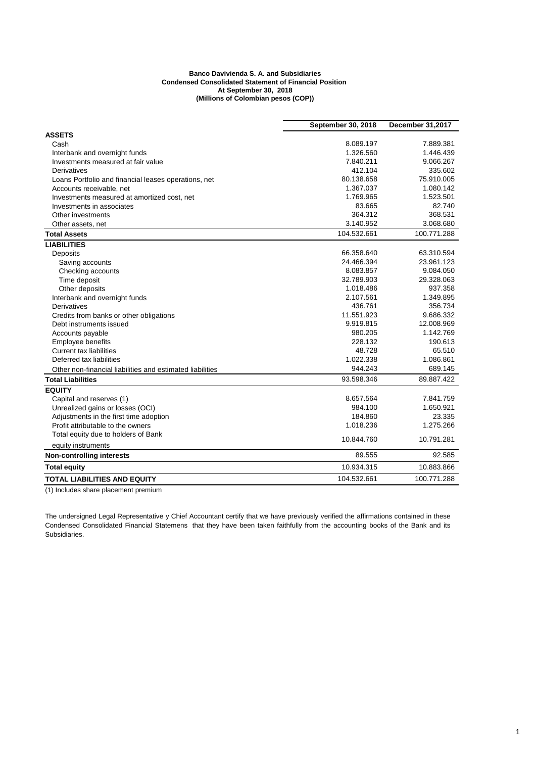## **Banco Davivienda S. A. and Subsidiaries Condensed Consolidated Statement of Financial Position At September 30, 2018 (Millions of Colombian pesos (COP))**

|                                                           | September 30, 2018 | December 31,2017 |  |
|-----------------------------------------------------------|--------------------|------------------|--|
| <b>ASSETS</b>                                             |                    |                  |  |
| Cash                                                      | 8.089.197          | 7.889.381        |  |
| Interbank and overnight funds                             | 1.326.560          | 1.446.439        |  |
| Investments measured at fair value                        | 7.840.211          | 9.066.267        |  |
| Derivatives                                               | 412.104            | 335.602          |  |
| Loans Portfolio and financial leases operations, net      | 80.138.658         | 75.910.005       |  |
| Accounts receivable, net                                  | 1.367.037          | 1.080.142        |  |
| Investments measured at amortized cost, net               | 1.769.965          | 1.523.501        |  |
| Investments in associates                                 | 83.665             | 82.740           |  |
| Other investments                                         | 364.312            | 368.531          |  |
| Other assets, net                                         | 3.140.952          | 3.068.680        |  |
| <b>Total Assets</b>                                       | 104.532.661        | 100.771.288      |  |
| <b>LIABILITIES</b>                                        |                    |                  |  |
| Deposits                                                  | 66.358.640         | 63.310.594       |  |
| Saving accounts                                           | 24.466.394         | 23.961.123       |  |
| Checking accounts                                         | 8.083.857          | 9.084.050        |  |
| Time deposit                                              | 32.789.903         | 29.328.063       |  |
| Other deposits                                            | 1.018.486          | 937.358          |  |
| Interbank and overnight funds                             | 2.107.561          | 1.349.895        |  |
| Derivatives                                               | 436.761            | 356.734          |  |
| Credits from banks or other obligations                   | 11.551.923         | 9.686.332        |  |
| Debt instruments issued                                   | 9.919.815          | 12.008.969       |  |
| Accounts payable                                          | 980.205            | 1.142.769        |  |
| Employee benefits                                         | 228.132            | 190.613          |  |
| <b>Current tax liabilities</b>                            | 48.728             | 65.510           |  |
| Deferred tax liabilities                                  | 1.022.338          | 1.086.861        |  |
| Other non-financial liabilities and estimated liabilities | 944.243            | 689.145          |  |
| <b>Total Liabilities</b>                                  | 93.598.346         | 89.887.422       |  |
| <b>EQUITY</b>                                             |                    |                  |  |
| Capital and reserves (1)                                  | 8.657.564          | 7.841.759        |  |
| Unrealized gains or losses (OCI)                          | 984.100            | 1.650.921        |  |
| Adjustments in the first time adoption                    | 184.860            | 23.335           |  |
| Profit attributable to the owners                         | 1.018.236          | 1.275.266        |  |
| Total equity due to holders of Bank                       | 10.844.760         | 10.791.281       |  |
| equity instruments                                        |                    |                  |  |
| <b>Non-controlling interests</b>                          | 89.555             | 92.585           |  |
| <b>Total equity</b>                                       | 10.934.315         | 10.883.866       |  |
| TOTAL LIABILITIES AND EQUITY                              | 104.532.661        | 100.771.288      |  |

(1) Includes share placement premium

The undersigned Legal Representative y Chief Accountant certify that we have previously verified the affirmations contained in these Condensed Consolidated Financial Statemens that they have been taken faithfully from the accounting books of the Bank and its Subsidiaries.